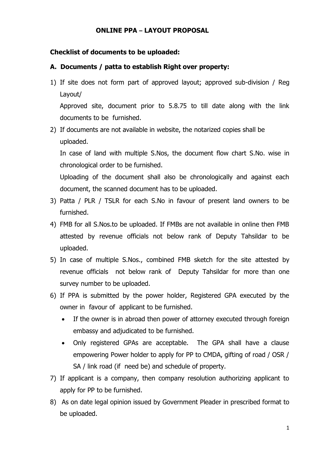### **ONLINE PPA – LAYOUT PROPOSAL**

# **Checklist of documents to be uploaded:**

# **A. Documents / patta to establish Right over property:**

1) If site does not form part of approved layout; approved sub-division / Reg Layout/

Approved site, document prior to 5.8.75 to till date along with the link documents to be furnished.

2) If documents are not available in website, the notarized copies shall be uploaded.

In case of land with multiple S.Nos, the document flow chart S.No. wise in chronological order to be furnished.

Uploading of the document shall also be chronologically and against each document, the scanned document has to be uploaded.

- 3) Patta / PLR / TSLR for each S.No in favour of present land owners to be furnished.
- 4) FMB for all S.Nos.to be uploaded. If FMBs are not available in online then FMB attested by revenue officials not below rank of Deputy Tahsildar to be uploaded.
- 5) In case of multiple S.Nos., combined FMB sketch for the site attested by revenue officials not below rank of Deputy Tahsildar for more than one survey number to be uploaded.
- 6) If PPA is submitted by the power holder, Registered GPA executed by the owner in favour of applicant to be furnished.
	- If the owner is in abroad then power of attorney executed through foreign embassy and adjudicated to be furnished.
	- Only registered GPAs are acceptable. The GPA shall have a clause empowering Power holder to apply for PP to CMDA, gifting of road / OSR / SA / link road (if need be) and schedule of property.
- 7) If applicant is a company, then company resolution authorizing applicant to apply for PP to be furnished.
- 8) As on date legal opinion issued by Government Pleader in prescribed format to be uploaded.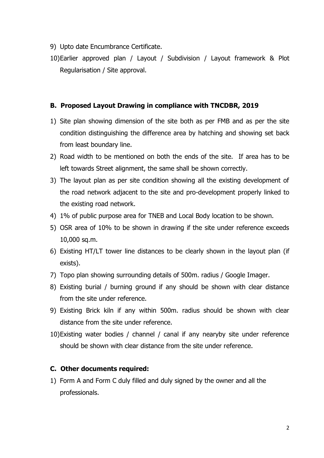- 9) Upto date Encumbrance Certificate.
- 10)Earlier approved plan / Layout / Subdivision / Layout framework & Plot Regularisation / Site approval.

#### **B. Proposed Layout Drawing in compliance with TNCDBR, 2019**

- 1) Site plan showing dimension of the site both as per FMB and as per the site condition distinguishing the difference area by hatching and showing set back from least boundary line.
- 2) Road width to be mentioned on both the ends of the site. If area has to be left towards Street alignment, the same shall be shown correctly.
- 3) The layout plan as per site condition showing all the existing development of the road network adjacent to the site and pro-development properly linked to the existing road network.
- 4) 1% of public purpose area for TNEB and Local Body location to be shown.
- 5) OSR area of 10% to be shown in drawing if the site under reference exceeds 10,000 sq.m.
- 6) Existing HT/LT tower line distances to be clearly shown in the layout plan (if exists).
- 7) Topo plan showing surrounding details of 500m. radius / Google Imager.
- 8) Existing burial / burning ground if any should be shown with clear distance from the site under reference.
- 9) Existing Brick kiln if any within 500m. radius should be shown with clear distance from the site under reference.
- 10)Existing water bodies / channel / canal if any nearyby site under reference should be shown with clear distance from the site under reference.

### **C. Other documents required:**

1) Form A and Form C duly filled and duly signed by the owner and all the professionals.